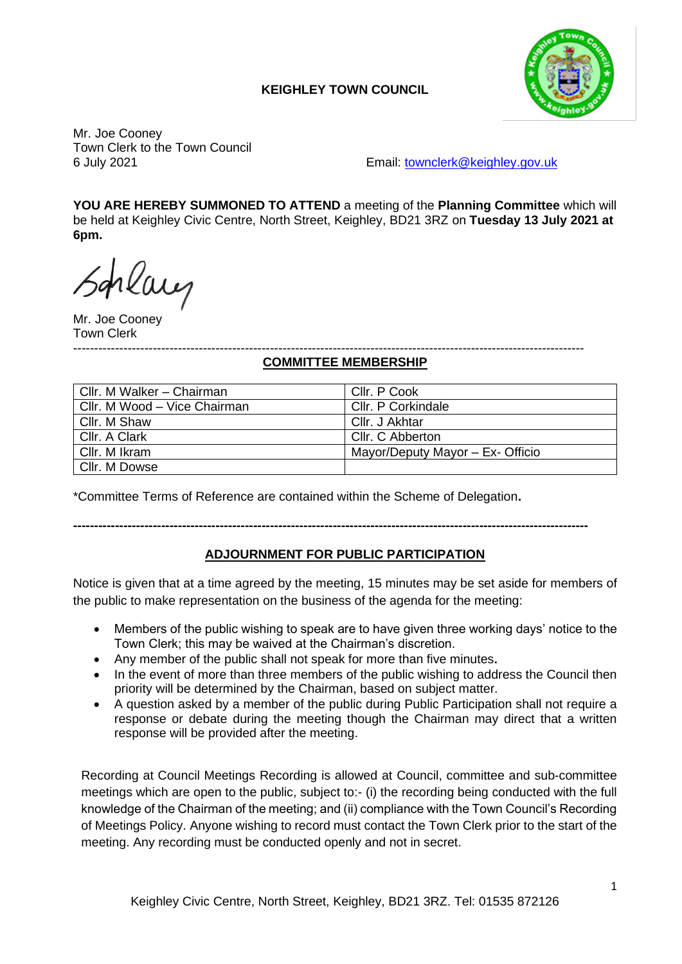## **KEIGHLEY TOWN COUNCIL**



Mr. Joe Cooney Town Clerk to the Town Council

6 July 2021 Email: [townclerk@keighley.gov.uk](mailto:townclerk@keighley.gov.uk)

**YOU ARE HEREBY SUMMONED TO ATTEND** a meeting of the **Planning Committee** which will be held at Keighley Civic Centre, North Street, Keighley, BD21 3RZ on **Tuesday 13 July 2021 at 6pm.**

placy

Mr. Joe Cooney Town Clerk

#### -------------------------------------------------------------------------------------------------------------------------- **COMMITTEE MEMBERSHIP**

| Cllr. M Walker - Chairman    | Cllr. P Cook                     |
|------------------------------|----------------------------------|
| Cllr. M Wood - Vice Chairman | Cllr. P Corkindale               |
| Cllr. M Shaw                 | Cllr. J Akhtar                   |
| Cllr. A Clark                | Cllr. C Abberton                 |
| Cllr. M Ikram                | Mayor/Deputy Mayor - Ex- Officio |
| Cllr. M Dowse                |                                  |

\*Committee Terms of Reference are contained within the Scheme of Delegation**.**

### **---------------------------------------------------------------------------------------------------------------------------**

### **ADJOURNMENT FOR PUBLIC PARTICIPATION**

Notice is given that at a time agreed by the meeting, 15 minutes may be set aside for members of the public to make representation on the business of the agenda for the meeting:

- Members of the public wishing to speak are to have given three working days' notice to the Town Clerk; this may be waived at the Chairman's discretion.
- Any member of the public shall not speak for more than five minutes**.**
- In the event of more than three members of the public wishing to address the Council then priority will be determined by the Chairman, based on subject matter.
- A question asked by a member of the public during Public Participation shall not require a response or debate during the meeting though the Chairman may direct that a written response will be provided after the meeting.

Recording at Council Meetings Recording is allowed at Council, committee and sub-committee meetings which are open to the public, subject to:- (i) the recording being conducted with the full knowledge of the Chairman of the meeting; and (ii) compliance with the Town Council's Recording of Meetings Policy. Anyone wishing to record must contact the Town Clerk prior to the start of the meeting. Any recording must be conducted openly and not in secret.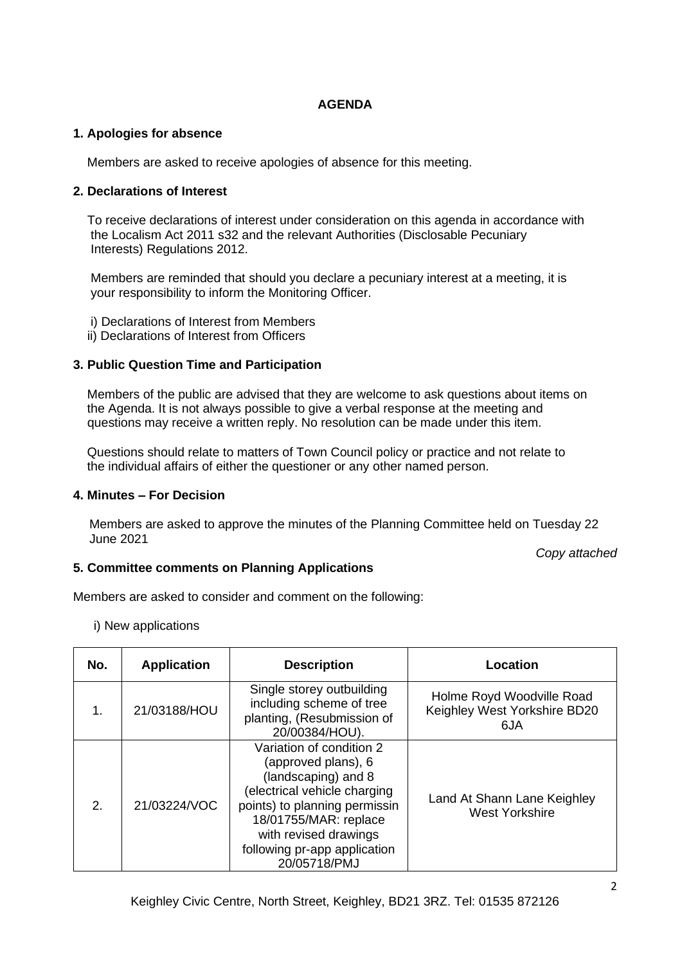### **AGENDA**

### **1. Apologies for absence**

Members are asked to receive apologies of absence for this meeting.

### **2. Declarations of Interest**

 To receive declarations of interest under consideration on this agenda in accordance with the Localism Act 2011 s32 and the relevant Authorities (Disclosable Pecuniary Interests) Regulations 2012.

 Members are reminded that should you declare a pecuniary interest at a meeting, it is your responsibility to inform the Monitoring Officer.

- i) Declarations of Interest from Members
- ii) Declarations of Interest from Officers

### **3. Public Question Time and Participation**

 Members of the public are advised that they are welcome to ask questions about items on the Agenda. It is not always possible to give a verbal response at the meeting and questions may receive a written reply. No resolution can be made under this item.

 Questions should relate to matters of Town Council policy or practice and not relate to the individual affairs of either the questioner or any other named person.

### **4. Minutes – For Decision**

Members are asked to approve the minutes of the Planning Committee held on Tuesday 22 June 2021

*Copy attached*

### **5. Committee comments on Planning Applications**

Members are asked to consider and comment on the following:

i) New applications

| No. | <b>Application</b> | <b>Description</b>                                                                                                                                                                                                                        | Location                                                         |
|-----|--------------------|-------------------------------------------------------------------------------------------------------------------------------------------------------------------------------------------------------------------------------------------|------------------------------------------------------------------|
| 1.  | 21/03188/HOU       | Single storey outbuilding<br>including scheme of tree<br>planting, (Resubmission of<br>20/00384/HOU).                                                                                                                                     | Holme Royd Woodville Road<br>Keighley West Yorkshire BD20<br>6JA |
| 2.  | 21/03224/VOC       | Variation of condition 2<br>(approved plans), 6<br>(landscaping) and 8<br>(electrical vehicle charging<br>points) to planning permissin<br>18/01755/MAR: replace<br>with revised drawings<br>following pr-app application<br>20/05718/PMJ | Land At Shann Lane Keighley<br><b>West Yorkshire</b>             |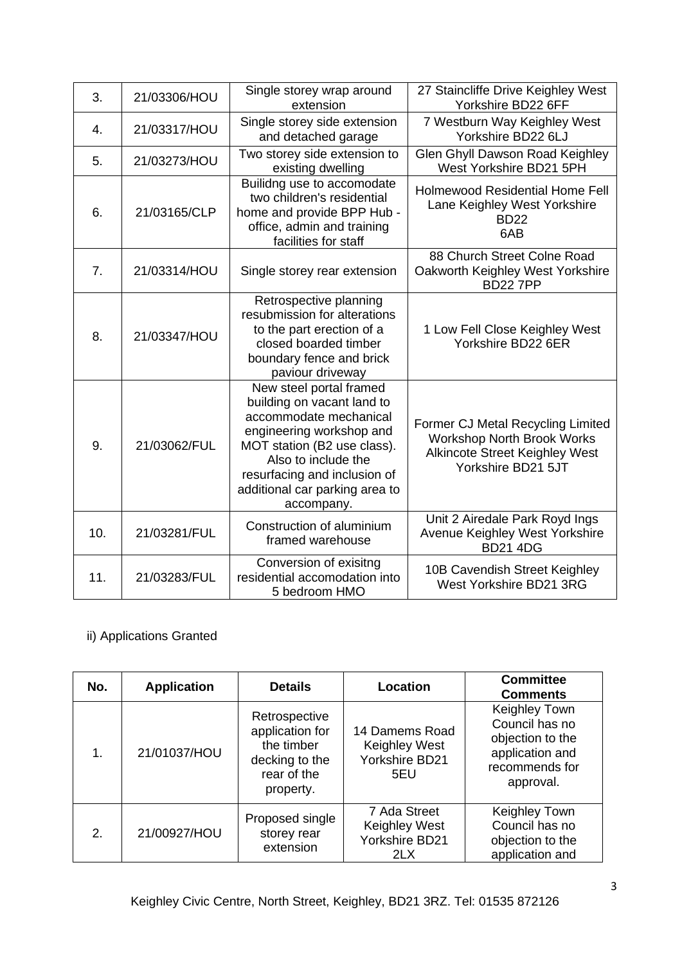| 3.  | 21/03306/HOU | Single storey wrap around<br>extension                                                                                                                                                                                                            | 27 Staincliffe Drive Keighley West<br>Yorkshire BD22 6FF                                                                              |
|-----|--------------|---------------------------------------------------------------------------------------------------------------------------------------------------------------------------------------------------------------------------------------------------|---------------------------------------------------------------------------------------------------------------------------------------|
| 4.  | 21/03317/HOU | Single storey side extension<br>and detached garage                                                                                                                                                                                               | 7 Westburn Way Keighley West<br>Yorkshire BD22 6LJ                                                                                    |
| 5.  | 21/03273/HOU | Two storey side extension to<br>existing dwelling                                                                                                                                                                                                 | Glen Ghyll Dawson Road Keighley<br>West Yorkshire BD21 5PH                                                                            |
| 6.  | 21/03165/CLP | Builidng use to accomodate<br>two children's residential<br>home and provide BPP Hub -<br>office, admin and training<br>facilities for staff                                                                                                      | <b>Holmewood Residential Home Fell</b><br>Lane Keighley West Yorkshire<br><b>BD22</b><br>6AB                                          |
| 7.  | 21/03314/HOU | Single storey rear extension                                                                                                                                                                                                                      | 88 Church Street Colne Road<br>Oakworth Keighley West Yorkshire<br><b>BD227PP</b>                                                     |
| 8.  | 21/03347/HOU | Retrospective planning<br>resubmission for alterations<br>to the part erection of a<br>closed boarded timber<br>boundary fence and brick<br>paviour driveway                                                                                      | 1 Low Fell Close Keighley West<br>Yorkshire BD22 6ER                                                                                  |
| 9.  | 21/03062/FUL | New steel portal framed<br>building on vacant land to<br>accommodate mechanical<br>engineering workshop and<br>MOT station (B2 use class).<br>Also to include the<br>resurfacing and inclusion of<br>additional car parking area to<br>accompany. | Former CJ Metal Recycling Limited<br><b>Workshop North Brook Works</b><br><b>Alkincote Street Keighley West</b><br>Yorkshire BD21 5JT |
| 10. | 21/03281/FUL | Construction of aluminium<br>framed warehouse                                                                                                                                                                                                     | Unit 2 Airedale Park Royd Ings<br>Avenue Keighley West Yorkshire<br><b>BD21 4DG</b>                                                   |
| 11. | 21/03283/FUL | Conversion of exisitng<br>residential accomodation into<br>5 bedroom HMO                                                                                                                                                                          | 10B Cavendish Street Keighley<br>West Yorkshire BD21 3RG                                                                              |

# ii) Applications Granted

| No. | <b>Application</b> | <b>Details</b>                                                                               | Location                                                 | <b>Committee</b><br><b>Comments</b>                                                                   |
|-----|--------------------|----------------------------------------------------------------------------------------------|----------------------------------------------------------|-------------------------------------------------------------------------------------------------------|
| 1.  | 21/01037/HOU       | Retrospective<br>application for<br>the timber<br>decking to the<br>rear of the<br>property. | 14 Damems Road<br>Keighley West<br>Yorkshire BD21<br>5EU | Keighley Town<br>Council has no<br>objection to the<br>application and<br>recommends for<br>approval. |
| 2.  | 21/00927/HOU       | Proposed single<br>storey rear<br>extension                                                  | 7 Ada Street<br>Keighley West<br>Yorkshire BD21<br>2LX   | Keighley Town<br>Council has no<br>objection to the<br>application and                                |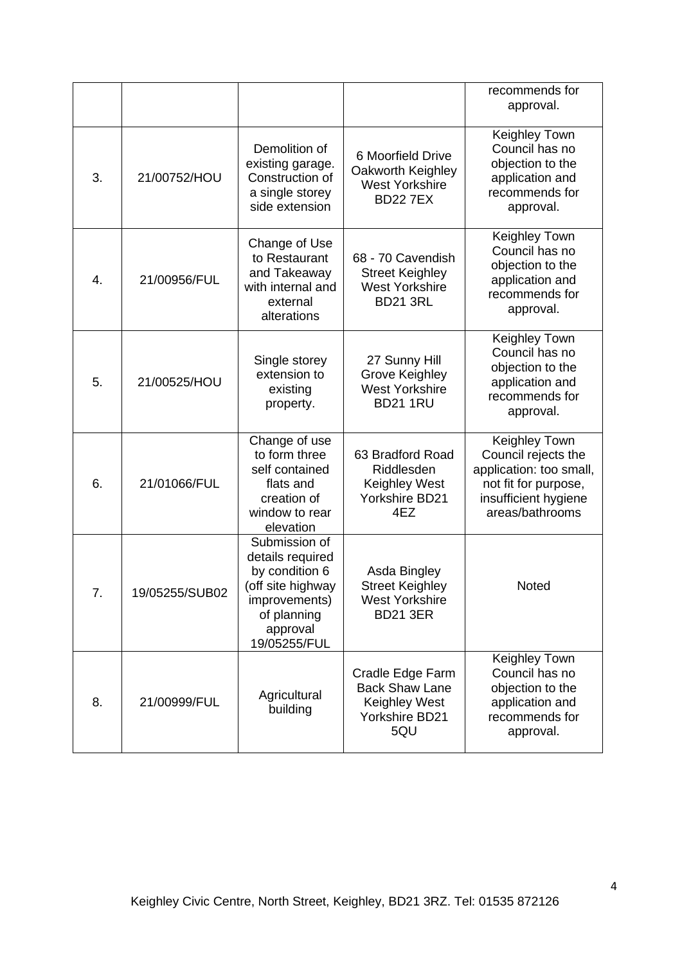|    |                |                                                                                                                                     |                                                                                         | recommends for<br>approval.                                                                                                        |
|----|----------------|-------------------------------------------------------------------------------------------------------------------------------------|-----------------------------------------------------------------------------------------|------------------------------------------------------------------------------------------------------------------------------------|
| 3. | 21/00752/HOU   | Demolition of<br>existing garage.<br>Construction of<br>a single storey<br>side extension                                           | 6 Moorfield Drive<br>Oakworth Keighley<br><b>West Yorkshire</b><br><b>BD227EX</b>       | Keighley Town<br>Council has no<br>objection to the<br>application and<br>recommends for<br>approval.                              |
| 4. | 21/00956/FUL   | Change of Use<br>to Restaurant<br>and Takeaway<br>with internal and<br>external<br>alterations                                      | 68 - 70 Cavendish<br><b>Street Keighley</b><br><b>West Yorkshire</b><br><b>BD21 3RL</b> | Keighley Town<br>Council has no<br>objection to the<br>application and<br>recommends for<br>approval.                              |
| 5. | 21/00525/HOU   | Single storey<br>extension to<br>existing<br>property.                                                                              | 27 Sunny Hill<br>Grove Keighley<br><b>West Yorkshire</b><br><b>BD21 1RU</b>             | Keighley Town<br>Council has no<br>objection to the<br>application and<br>recommends for<br>approval.                              |
| 6. | 21/01066/FUL   | Change of use<br>to form three<br>self contained<br>flats and<br>creation of<br>window to rear<br>elevation                         | 63 Bradford Road<br>Riddlesden<br><b>Keighley West</b><br>Yorkshire BD21<br>4EZ         | Keighley Town<br>Council rejects the<br>application: too small,<br>not fit for purpose,<br>insufficient hygiene<br>areas/bathrooms |
| 7. | 19/05255/SUB02 | Submission of<br>details required<br>by condition 6<br>off site highway<br>improvements)<br>of planning<br>approval<br>19/05255/FUL | Asda Bingley<br><b>Street Keighley</b><br><b>West Yorkshire</b><br><b>BD21 3ER</b>      | Noted                                                                                                                              |
| 8. | 21/00999/FUL   | Agricultural<br>building                                                                                                            | Cradle Edge Farm<br><b>Back Shaw Lane</b><br>Keighley West<br>Yorkshire BD21<br>5QU     | Keighley Town<br>Council has no<br>objection to the<br>application and<br>recommends for<br>approval.                              |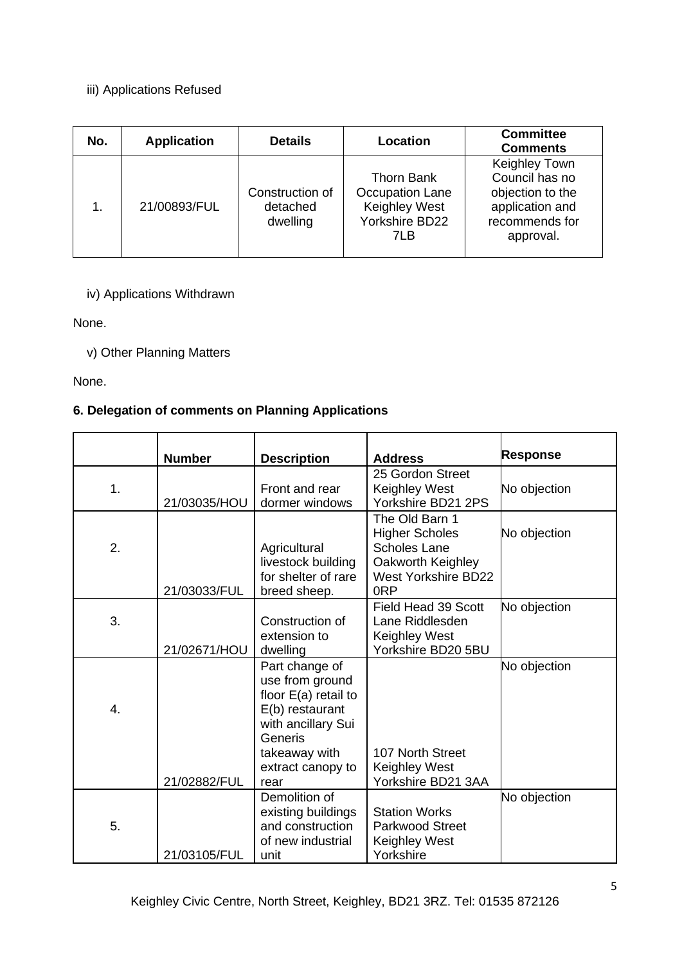## iii) Applications Refused

| No. | <b>Application</b> | <b>Details</b>                          | Location                                                                        | <b>Committee</b><br><b>Comments</b>                                                                   |
|-----|--------------------|-----------------------------------------|---------------------------------------------------------------------------------|-------------------------------------------------------------------------------------------------------|
| 1.  | 21/00893/FUL       | Construction of<br>detached<br>dwelling | <b>Thorn Bank</b><br>Occupation Lane<br>Keighley West<br>Yorkshire BD22<br>71 B | Keighley Town<br>Council has no<br>objection to the<br>application and<br>recommends for<br>approval. |

## iv) Applications Withdrawn

None.

## v) Other Planning Matters

None.

## **6. Delegation of comments on Planning Applications**

|    | <b>Number</b> | <b>Description</b>                                                                                                                                    | <b>Address</b>                                                                                                                       | <b>Response</b> |
|----|---------------|-------------------------------------------------------------------------------------------------------------------------------------------------------|--------------------------------------------------------------------------------------------------------------------------------------|-----------------|
| 1. | 21/03035/HOU  | Front and rear<br>dormer windows                                                                                                                      | 25 Gordon Street<br>Keighley West<br>Yorkshire BD21 2PS                                                                              | No objection    |
| 2. | 21/03033/FUL  | Agricultural<br>livestock building<br>for shelter of rare<br>breed sheep.                                                                             | The Old Barn 1<br><b>Higher Scholes</b><br><b>Scholes Lane</b><br>Oakworth Keighley<br><b>West Yorkshire BD22</b><br>0 <sub>RP</sub> | No objection    |
| 3. | 21/02671/HOU  | Construction of<br>extension to<br>dwelling                                                                                                           | Field Head 39 Scott<br>Lane Riddlesden<br>Keighley West<br>Yorkshire BD20 5BU                                                        | No objection    |
| 4. |               | Part change of<br>use from ground<br>floor $E(a)$ retail to<br>E(b) restaurant<br>with ancillary Sui<br>Generis<br>takeaway with<br>extract canopy to | 107 North Street<br><b>Keighley West</b>                                                                                             | No objection    |
|    | 21/02882/FUL  | rear                                                                                                                                                  | Yorkshire BD21 3AA                                                                                                                   |                 |
| 5. | 21/03105/FUL  | Demolition of<br>existing buildings<br>and construction<br>of new industrial<br>unit                                                                  | <b>Station Works</b><br><b>Parkwood Street</b><br>Keighley West<br>Yorkshire                                                         | No objection    |